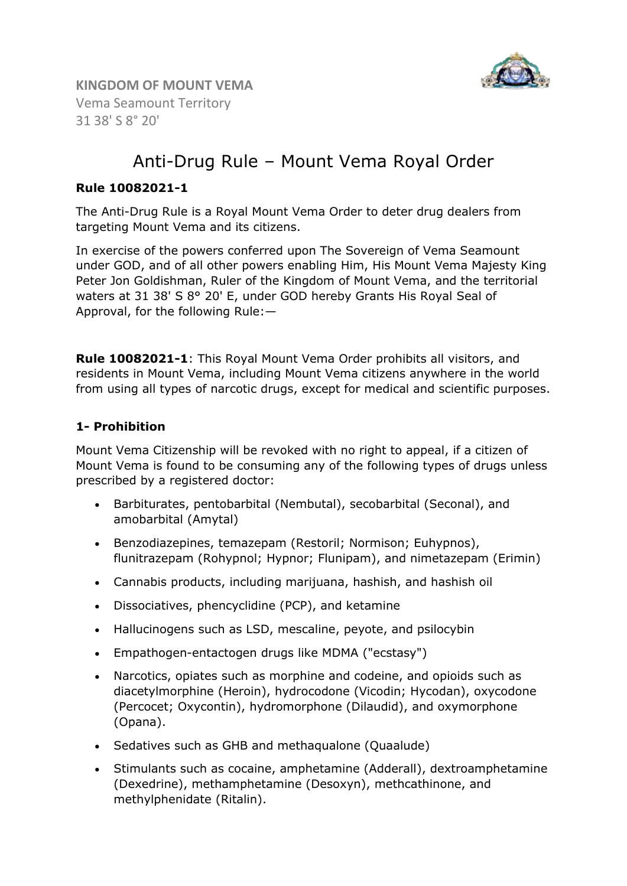

**KINGDOM OF MOUNT VEMA**  Vema Seamount Territory 31 38' S 8° 20'

# Anti-Drug Rule – Mount Vema Royal Order

## **Rule 10082021-1**

The Anti-Drug Rule is a Royal Mount Vema Order to deter drug dealers from targeting Mount Vema and its citizens.

In exercise of the powers conferred upon The Sovereign of Vema Seamount under GOD, and of all other powers enabling Him, His Mount Vema Majesty King Peter Jon Goldishman, Ruler of the Kingdom of Mount Vema, and the territorial waters at 31 38' S 8° 20' E, under GOD hereby Grants His Royal Seal of Approval, for the following Rule:—

**Rule 10082021-1**: This Royal Mount Vema Order prohibits all visitors, and residents in Mount Vema, including Mount Vema citizens anywhere in the world from using all types of narcotic drugs, except for medical and scientific purposes.

#### **1- Prohibition**

Mount Vema Citizenship will be revoked with no right to appeal, if a citizen of Mount Vema is found to be consuming any of the following types of drugs unless prescribed by a registered doctor:

- Barbiturates, pentobarbital (Nembutal), secobarbital (Seconal), and amobarbital (Amytal)
- Benzodiazepines, temazepam (Restoril; Normison; Euhypnos), flunitrazepam (Rohypnol; Hypnor; Flunipam), and nimetazepam (Erimin)
- Cannabis products, including marijuana, hashish, and hashish oil
- Dissociatives, phencyclidine (PCP), and ketamine
- Hallucinogens such as LSD, mescaline, peyote, and psilocybin
- Empathogen-entactogen drugs like MDMA ("ecstasy")
- Narcotics, opiates such as morphine and codeine, and opioids such as diacetylmorphine (Heroin), hydrocodone (Vicodin; Hycodan), oxycodone (Percocet; Oxycontin), hydromorphone (Dilaudid), and oxymorphone (Opana).
- Sedatives such as GHB and methaqualone (Quaalude)
- Stimulants such as cocaine, amphetamine (Adderall), dextroamphetamine (Dexedrine), methamphetamine (Desoxyn), methcathinone, and methylphenidate (Ritalin).